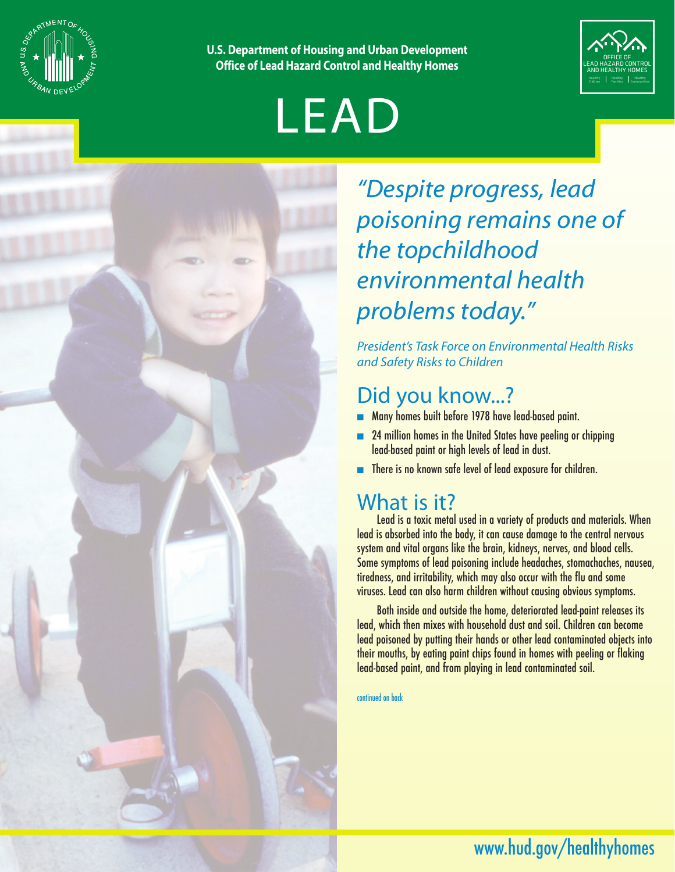

**U.S. Department of Housing and Urban Development Office of Lead Hazard Control and Healthy Homes**



# LEAD

*"Despite progress, lead poisoning remains one of the topchildhood environmental health problems today."* 

*President's Task Force on Environmental Health Risks and Safety Risks to Children* 

## Did you know...?

- Many homes built before 1978 have lead-based paint.
- 24 million homes in the United States have peeling or chipping lead-based paint or high levels of lead in dust.
- There is no known safe level of lead exposure for children.

## What is it?

Lead is a toxic metal used in a variety of products and materials. When lead is absorbed into the body, it can cause damage to the central nervous system and vital organs like the brain, kidneys, nerves, and blood cells. Some symptoms of lead poisoning include headaches, stomachaches, nausea, tiredness, and irritability, which may also occur with the flu and some viruses. Lead can also harm children without causing obvious symptoms.

Both inside and outside the home, deteriorated lead-paint releases its lead, which then mixes with household dust and soil. Children can become lead poisoned by putting their hands or other lead contaminated objects into their mouths, by eating paint chips found in homes with peeling or flaking lead-based paint, and from playing in lead contaminated soil.

continued on back

## www.hud.gov/healthyhomes